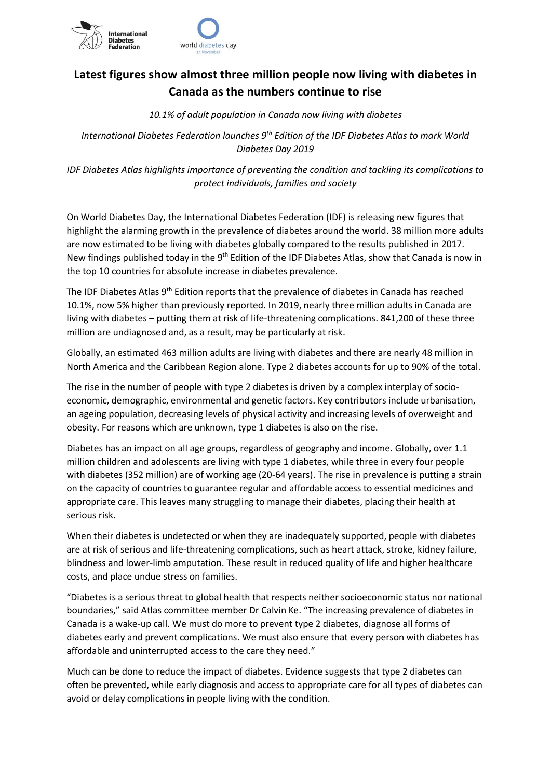

## **Latest figures show almost three million people now living with diabetes in Canada as the numbers continue to rise**

*10.1% of adult population in Canada now living with diabetes*

*International Diabetes Federation launches 9th Edition of the IDF Diabetes Atlas to mark World Diabetes Day 2019*

*IDF Diabetes Atlas highlights importance of preventing the condition and tackling its complications to protect individuals, families and society*

On World Diabetes Day, the International Diabetes Federation (IDF) is releasing new figures that highlight the alarming growth in the prevalence of diabetes around the world. 38 million more adults are now estimated to be living with diabetes globally compared to the results published in 2017. New findings published today in the 9<sup>th</sup> Edition of the IDF Diabetes Atlas, show that Canada is now in the top 10 countries for absolute increase in diabetes prevalence.

The IDF Diabetes Atlas 9<sup>th</sup> Edition reports that the prevalence of diabetes in Canada has reached 10.1%, now 5% higher than previously reported. In 2019, nearly three million adults in Canada are living with diabetes – putting them at risk of life-threatening complications. 841,200 of these three million are undiagnosed and, as a result, may be particularly at risk.

Globally, an estimated 463 million adults are living with diabetes and there are nearly 48 million in North America and the Caribbean Region alone. Type 2 diabetes accounts for up to 90% of the total.

The rise in the number of people with type 2 diabetes is driven by a complex interplay of socioeconomic, demographic, environmental and genetic factors. Key contributors include urbanisation, an ageing population, decreasing levels of physical activity and increasing levels of overweight and obesity. For reasons which are unknown, type 1 diabetes is also on the rise.

Diabetes has an impact on all age groups, regardless of geography and income. Globally, over 1.1 million children and adolescents are living with type 1 diabetes, while three in every four people with diabetes (352 million) are of working age (20-64 years). The rise in prevalence is putting a strain on the capacity of countries to guarantee regular and affordable access to essential medicines and appropriate care. This leaves many struggling to manage their diabetes, placing their health at serious risk.

When their diabetes is undetected or when they are inadequately supported, people with diabetes are at risk of serious and life-threatening complications, such as heart attack, stroke, kidney failure, blindness and lower-limb amputation. These result in reduced quality of life and higher healthcare costs, and place undue stress on families.

"Diabetes is a serious threat to global health that respects neither socioeconomic status nor national boundaries," said Atlas committee member Dr Calvin Ke. "The increasing prevalence of diabetes in Canada is a wake-up call. We must do more to prevent type 2 diabetes, diagnose all forms of diabetes early and prevent complications. We must also ensure that every person with diabetes has affordable and uninterrupted access to the care they need."

Much can be done to reduce the impact of diabetes. Evidence suggests that type 2 diabetes can often be prevented, while early diagnosis and access to appropriate care for all types of diabetes can avoid or delay complications in people living with the condition.